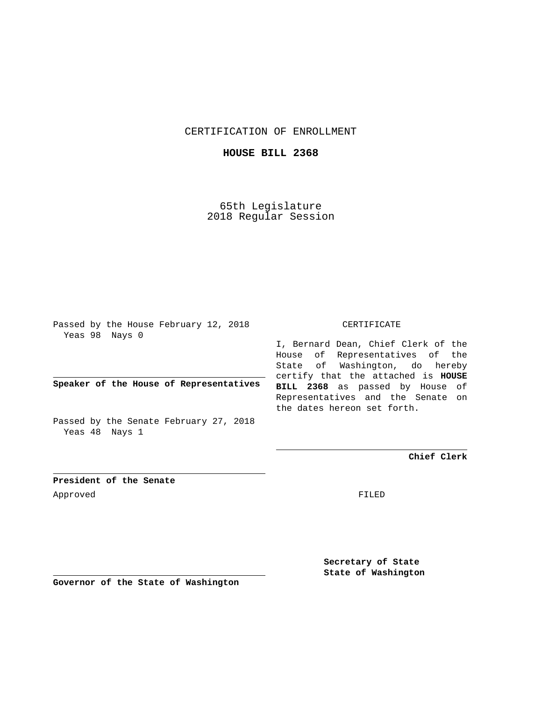CERTIFICATION OF ENROLLMENT

**HOUSE BILL 2368**

65th Legislature 2018 Regular Session

Passed by the House February 12, 2018 Yeas 98 Nays 0

**Speaker of the House of Representatives**

Passed by the Senate February 27, 2018 Yeas 48 Nays 1

## CERTIFICATE

I, Bernard Dean, Chief Clerk of the House of Representatives of the State of Washington, do hereby certify that the attached is **HOUSE BILL 2368** as passed by House of Representatives and the Senate on the dates hereon set forth.

**Chief Clerk**

**President of the Senate** Approved FILED

**Secretary of State State of Washington**

**Governor of the State of Washington**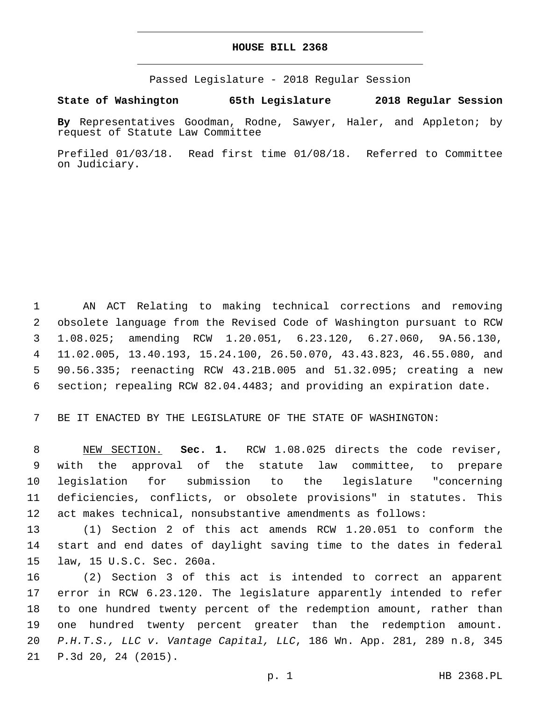## **HOUSE BILL 2368**

Passed Legislature - 2018 Regular Session

**State of Washington 65th Legislature 2018 Regular Session**

**By** Representatives Goodman, Rodne, Sawyer, Haler, and Appleton; by request of Statute Law Committee

Prefiled 01/03/18. Read first time 01/08/18. Referred to Committee on Judiciary.

 AN ACT Relating to making technical corrections and removing obsolete language from the Revised Code of Washington pursuant to RCW 1.08.025; amending RCW 1.20.051, 6.23.120, 6.27.060, 9A.56.130, 11.02.005, 13.40.193, 15.24.100, 26.50.070, 43.43.823, 46.55.080, and 90.56.335; reenacting RCW 43.21B.005 and 51.32.095; creating a new section; repealing RCW 82.04.4483; and providing an expiration date.

BE IT ENACTED BY THE LEGISLATURE OF THE STATE OF WASHINGTON:

 NEW SECTION. **Sec. 1.** RCW 1.08.025 directs the code reviser, with the approval of the statute law committee, to prepare legislation for submission to the legislature "concerning deficiencies, conflicts, or obsolete provisions" in statutes. This act makes technical, nonsubstantive amendments as follows:

 (1) Section 2 of this act amends RCW 1.20.051 to conform the start and end dates of daylight saving time to the dates in federal 15 law, 15 U.S.C. Sec. 260a.

 (2) Section 3 of this act is intended to correct an apparent error in RCW 6.23.120. The legislature apparently intended to refer to one hundred twenty percent of the redemption amount, rather than one hundred twenty percent greater than the redemption amount. *P.H.T.S., LLC v. Vantage Capital, LLC*, 186 Wn. App. 281, 289 n.8, 345 21 P.3d 20, 24 (2015).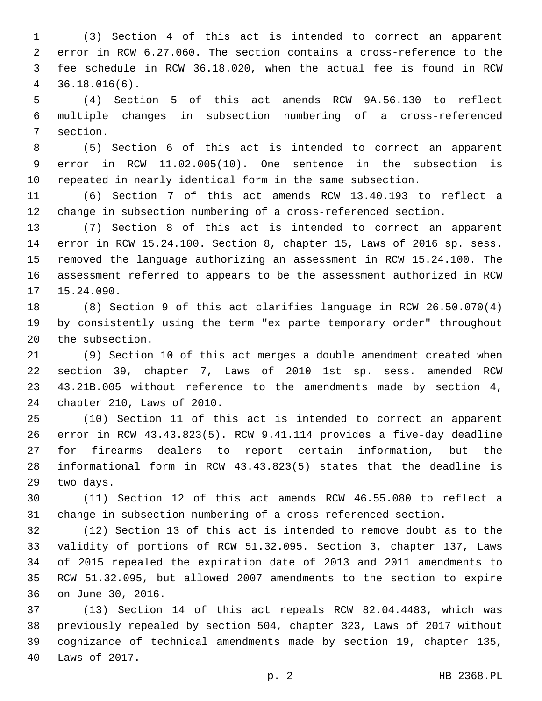(3) Section 4 of this act is intended to correct an apparent error in RCW 6.27.060. The section contains a cross-reference to the fee schedule in RCW 36.18.020, when the actual fee is found in RCW 36.18.016(6).4

 (4) Section 5 of this act amends RCW 9A.56.130 to reflect multiple changes in subsection numbering of a cross-referenced 7 section.

 (5) Section 6 of this act is intended to correct an apparent error in RCW 11.02.005(10). One sentence in the subsection is repeated in nearly identical form in the same subsection.

 (6) Section 7 of this act amends RCW 13.40.193 to reflect a change in subsection numbering of a cross-referenced section.

 (7) Section 8 of this act is intended to correct an apparent error in RCW 15.24.100. Section 8, chapter 15, Laws of 2016 sp. sess. removed the language authorizing an assessment in RCW 15.24.100. The assessment referred to appears to be the assessment authorized in RCW 17 15.24.090.

 (8) Section 9 of this act clarifies language in RCW 26.50.070(4) by consistently using the term "ex parte temporary order" throughout 20 the subsection.

 (9) Section 10 of this act merges a double amendment created when section 39, chapter 7, Laws of 2010 1st sp. sess. amended RCW 43.21B.005 without reference to the amendments made by section 4, 24 chapter 210, Laws of 2010.

 (10) Section 11 of this act is intended to correct an apparent error in RCW 43.43.823(5). RCW 9.41.114 provides a five-day deadline for firearms dealers to report certain information, but the informational form in RCW 43.43.823(5) states that the deadline is 29 two days.

 (11) Section 12 of this act amends RCW 46.55.080 to reflect a change in subsection numbering of a cross-referenced section.

 (12) Section 13 of this act is intended to remove doubt as to the validity of portions of RCW 51.32.095. Section 3, chapter 137, Laws of 2015 repealed the expiration date of 2013 and 2011 amendments to RCW 51.32.095, but allowed 2007 amendments to the section to expire 36 on June 30, 2016.

 (13) Section 14 of this act repeals RCW 82.04.4483, which was previously repealed by section 504, chapter 323, Laws of 2017 without cognizance of technical amendments made by section 19, chapter 135, 40 Laws of 2017.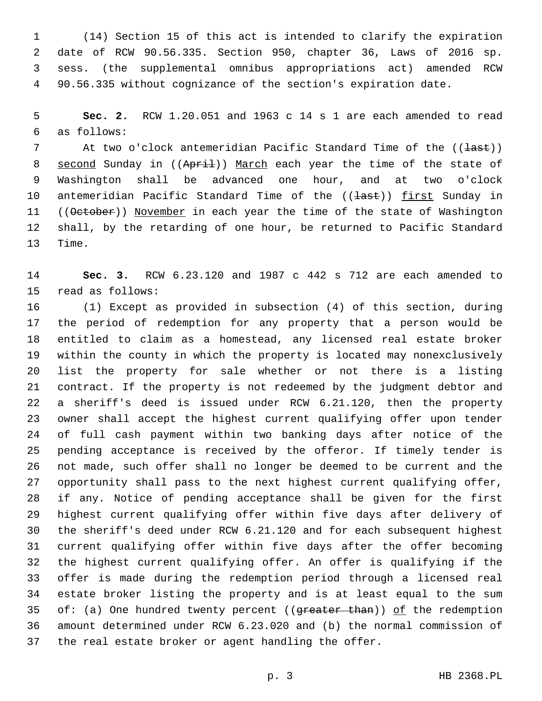(14) Section 15 of this act is intended to clarify the expiration date of RCW 90.56.335. Section 950, chapter 36, Laws of 2016 sp. sess. (the supplemental omnibus appropriations act) amended RCW 90.56.335 without cognizance of the section's expiration date.

 **Sec. 2.** RCW 1.20.051 and 1963 c 14 s 1 are each amended to read as follows:6

7 At two o'clock antemeridian Pacific Standard Time of the ((<del>last</del>)) 8 second Sunday in ((April)) March each year the time of the state of Washington shall be advanced one hour, and at two o'clock 10 antemeridian Pacific Standard Time of the ((<del>last</del>)) first Sunday in 11 ((October)) November in each year the time of the state of Washington shall, by the retarding of one hour, be returned to Pacific Standard 13 Time.

 **Sec. 3.** RCW 6.23.120 and 1987 c 442 s 712 are each amended to 15 read as follows:

 (1) Except as provided in subsection (4) of this section, during the period of redemption for any property that a person would be entitled to claim as a homestead, any licensed real estate broker within the county in which the property is located may nonexclusively list the property for sale whether or not there is a listing contract. If the property is not redeemed by the judgment debtor and a sheriff's deed is issued under RCW 6.21.120, then the property owner shall accept the highest current qualifying offer upon tender of full cash payment within two banking days after notice of the pending acceptance is received by the offeror. If timely tender is not made, such offer shall no longer be deemed to be current and the opportunity shall pass to the next highest current qualifying offer, if any. Notice of pending acceptance shall be given for the first highest current qualifying offer within five days after delivery of the sheriff's deed under RCW 6.21.120 and for each subsequent highest current qualifying offer within five days after the offer becoming the highest current qualifying offer. An offer is qualifying if the offer is made during the redemption period through a licensed real estate broker listing the property and is at least equal to the sum 35 of: (a) One hundred twenty percent ((greater than)) of the redemption amount determined under RCW 6.23.020 and (b) the normal commission of the real estate broker or agent handling the offer.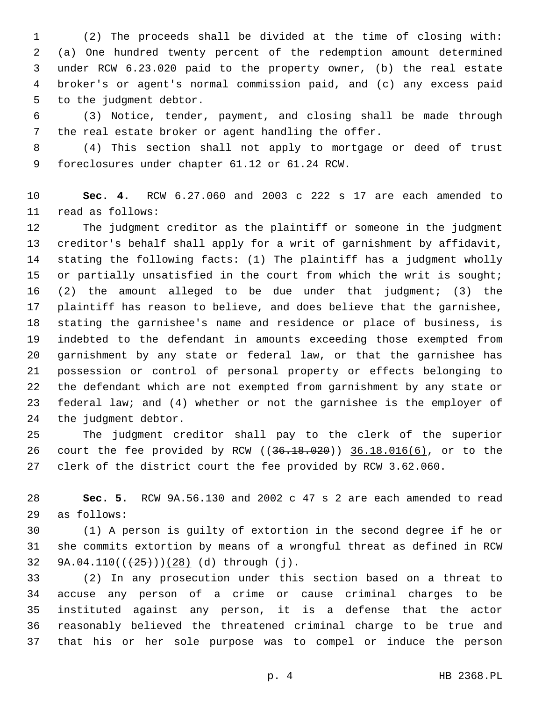(2) The proceeds shall be divided at the time of closing with: (a) One hundred twenty percent of the redemption amount determined under RCW 6.23.020 paid to the property owner, (b) the real estate broker's or agent's normal commission paid, and (c) any excess paid 5 to the judgment debtor.

 (3) Notice, tender, payment, and closing shall be made through the real estate broker or agent handling the offer.

 (4) This section shall not apply to mortgage or deed of trust 9 foreclosures under chapter 61.12 or 61.24 RCW.

 **Sec. 4.** RCW 6.27.060 and 2003 c 222 s 17 are each amended to 11 read as follows:

 The judgment creditor as the plaintiff or someone in the judgment creditor's behalf shall apply for a writ of garnishment by affidavit, stating the following facts: (1) The plaintiff has a judgment wholly 15 or partially unsatisfied in the court from which the writ is sought; (2) the amount alleged to be due under that judgment; (3) the plaintiff has reason to believe, and does believe that the garnishee, stating the garnishee's name and residence or place of business, is indebted to the defendant in amounts exceeding those exempted from garnishment by any state or federal law, or that the garnishee has possession or control of personal property or effects belonging to the defendant which are not exempted from garnishment by any state or federal law; and (4) whether or not the garnishee is the employer of 24 the judgment debtor.

 The judgment creditor shall pay to the clerk of the superior 26 court the fee provided by RCW ((<del>36.18.020</del>)) 36.18.016(6), or to the clerk of the district court the fee provided by RCW 3.62.060.

 **Sec. 5.** RCW 9A.56.130 and 2002 c 47 s 2 are each amended to read as follows:29

 (1) A person is guilty of extortion in the second degree if he or she commits extortion by means of a wrongful threat as defined in RCW 32 9A.04.110( $(\frac{25}{128})$  (d) through (j).

 (2) In any prosecution under this section based on a threat to accuse any person of a crime or cause criminal charges to be instituted against any person, it is a defense that the actor reasonably believed the threatened criminal charge to be true and that his or her sole purpose was to compel or induce the person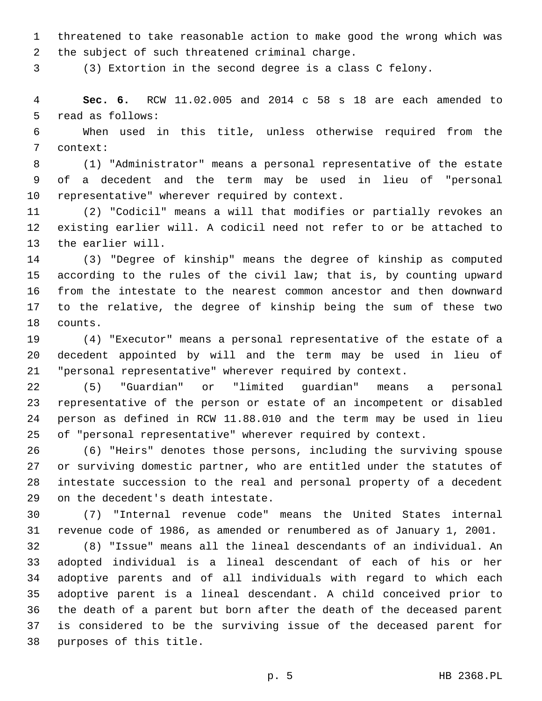threatened to take reasonable action to make good the wrong which was 2 the subject of such threatened criminal charge.

(3) Extortion in the second degree is a class C felony.

 **Sec. 6.** RCW 11.02.005 and 2014 c 58 s 18 are each amended to 5 read as follows:

 When used in this title, unless otherwise required from the 7 context:

 (1) "Administrator" means a personal representative of the estate of a decedent and the term may be used in lieu of "personal 10 representative" wherever required by context.

 (2) "Codicil" means a will that modifies or partially revokes an existing earlier will. A codicil need not refer to or be attached to 13 the earlier will.

 (3) "Degree of kinship" means the degree of kinship as computed according to the rules of the civil law; that is, by counting upward from the intestate to the nearest common ancestor and then downward to the relative, the degree of kinship being the sum of these two 18 counts.

 (4) "Executor" means a personal representative of the estate of a decedent appointed by will and the term may be used in lieu of "personal representative" wherever required by context.

 (5) "Guardian" or "limited guardian" means a personal representative of the person or estate of an incompetent or disabled person as defined in RCW 11.88.010 and the term may be used in lieu of "personal representative" wherever required by context.

 (6) "Heirs" denotes those persons, including the surviving spouse or surviving domestic partner, who are entitled under the statutes of intestate succession to the real and personal property of a decedent 29 on the decedent's death intestate.

 (7) "Internal revenue code" means the United States internal revenue code of 1986, as amended or renumbered as of January 1, 2001.

 (8) "Issue" means all the lineal descendants of an individual. An adopted individual is a lineal descendant of each of his or her adoptive parents and of all individuals with regard to which each adoptive parent is a lineal descendant. A child conceived prior to the death of a parent but born after the death of the deceased parent is considered to be the surviving issue of the deceased parent for 38 purposes of this title.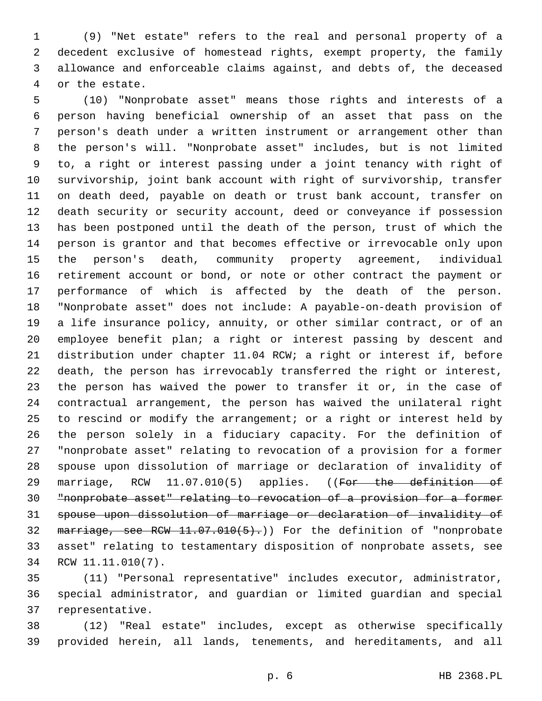(9) "Net estate" refers to the real and personal property of a decedent exclusive of homestead rights, exempt property, the family allowance and enforceable claims against, and debts of, the deceased 4 or the estate.

 (10) "Nonprobate asset" means those rights and interests of a person having beneficial ownership of an asset that pass on the person's death under a written instrument or arrangement other than the person's will. "Nonprobate asset" includes, but is not limited to, a right or interest passing under a joint tenancy with right of survivorship, joint bank account with right of survivorship, transfer on death deed, payable on death or trust bank account, transfer on death security or security account, deed or conveyance if possession has been postponed until the death of the person, trust of which the person is grantor and that becomes effective or irrevocable only upon the person's death, community property agreement, individual retirement account or bond, or note or other contract the payment or performance of which is affected by the death of the person. "Nonprobate asset" does not include: A payable-on-death provision of a life insurance policy, annuity, or other similar contract, or of an employee benefit plan; a right or interest passing by descent and distribution under chapter 11.04 RCW; a right or interest if, before death, the person has irrevocably transferred the right or interest, the person has waived the power to transfer it or, in the case of contractual arrangement, the person has waived the unilateral right to rescind or modify the arrangement; or a right or interest held by the person solely in a fiduciary capacity. For the definition of "nonprobate asset" relating to revocation of a provision for a former spouse upon dissolution of marriage or declaration of invalidity of 29 marriage, RCW 11.07.010(5) applies. ((For the definition of "nonprobate asset" relating to revocation of a provision for a former spouse upon dissolution of marriage or declaration of invalidity of 32 marriage, see RCW 11.07.010(5).) For the definition of "nonprobate asset" relating to testamentary disposition of nonprobate assets, see 34 RCW 11.11.010(7).

 (11) "Personal representative" includes executor, administrator, special administrator, and guardian or limited guardian and special 37 representative.

 (12) "Real estate" includes, except as otherwise specifically provided herein, all lands, tenements, and hereditaments, and all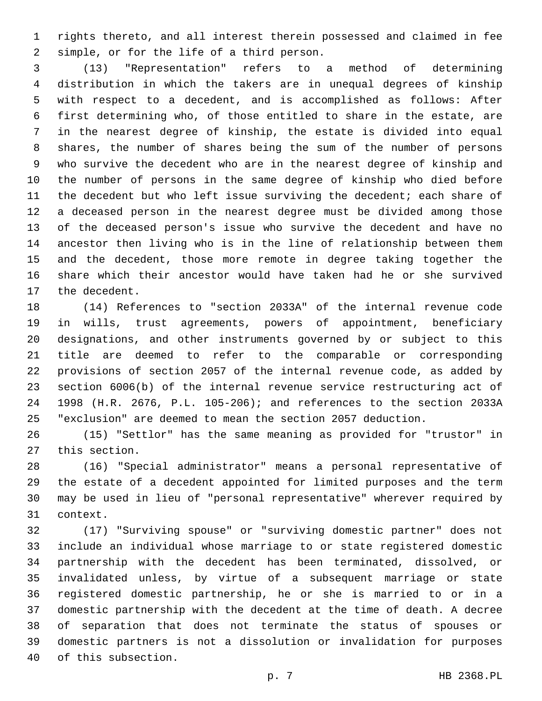rights thereto, and all interest therein possessed and claimed in fee 2 simple, or for the life of a third person.

 (13) "Representation" refers to a method of determining distribution in which the takers are in unequal degrees of kinship with respect to a decedent, and is accomplished as follows: After first determining who, of those entitled to share in the estate, are in the nearest degree of kinship, the estate is divided into equal shares, the number of shares being the sum of the number of persons who survive the decedent who are in the nearest degree of kinship and the number of persons in the same degree of kinship who died before the decedent but who left issue surviving the decedent; each share of a deceased person in the nearest degree must be divided among those of the deceased person's issue who survive the decedent and have no ancestor then living who is in the line of relationship between them and the decedent, those more remote in degree taking together the share which their ancestor would have taken had he or she survived 17 the decedent.

 (14) References to "section 2033A" of the internal revenue code in wills, trust agreements, powers of appointment, beneficiary designations, and other instruments governed by or subject to this title are deemed to refer to the comparable or corresponding provisions of section 2057 of the internal revenue code, as added by section 6006(b) of the internal revenue service restructuring act of 1998 (H.R. 2676, P.L. 105-206); and references to the section 2033A "exclusion" are deemed to mean the section 2057 deduction.

 (15) "Settlor" has the same meaning as provided for "trustor" in 27 this section.

 (16) "Special administrator" means a personal representative of the estate of a decedent appointed for limited purposes and the term may be used in lieu of "personal representative" wherever required by 31 context.

 (17) "Surviving spouse" or "surviving domestic partner" does not include an individual whose marriage to or state registered domestic partnership with the decedent has been terminated, dissolved, or invalidated unless, by virtue of a subsequent marriage or state registered domestic partnership, he or she is married to or in a domestic partnership with the decedent at the time of death. A decree of separation that does not terminate the status of spouses or domestic partners is not a dissolution or invalidation for purposes 40 of this subsection.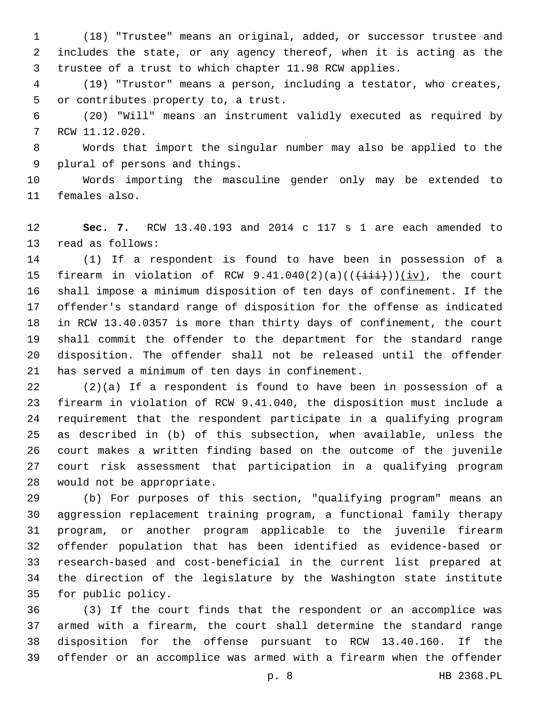(18) "Trustee" means an original, added, or successor trustee and includes the state, or any agency thereof, when it is acting as the trustee of a trust to which chapter 11.98 RCW applies.

 (19) "Trustor" means a person, including a testator, who creates, 5 or contributes property to, a trust.

 (20) "Will" means an instrument validly executed as required by 7 RCW 11.12.020.

 Words that import the singular number may also be applied to the 9 plural of persons and things.

 Words importing the masculine gender only may be extended to 11 females also.

 **Sec. 7.** RCW 13.40.193 and 2014 c 117 s 1 are each amended to 13 read as follows:

 (1) If a respondent is found to have been in possession of a 15 firearm in violation of RCW  $9.41.040(2)(a)((\overrightarrow{iii}))(iv)$ , the court shall impose a minimum disposition of ten days of confinement. If the offender's standard range of disposition for the offense as indicated in RCW 13.40.0357 is more than thirty days of confinement, the court shall commit the offender to the department for the standard range disposition. The offender shall not be released until the offender 21 has served a minimum of ten days in confinement.

 (2)(a) If a respondent is found to have been in possession of a firearm in violation of RCW 9.41.040, the disposition must include a requirement that the respondent participate in a qualifying program as described in (b) of this subsection, when available, unless the court makes a written finding based on the outcome of the juvenile court risk assessment that participation in a qualifying program 28 would not be appropriate.

 (b) For purposes of this section, "qualifying program" means an aggression replacement training program, a functional family therapy program, or another program applicable to the juvenile firearm offender population that has been identified as evidence-based or research-based and cost-beneficial in the current list prepared at the direction of the legislature by the Washington state institute 35 for public policy.

 (3) If the court finds that the respondent or an accomplice was armed with a firearm, the court shall determine the standard range disposition for the offense pursuant to RCW 13.40.160. If the offender or an accomplice was armed with a firearm when the offender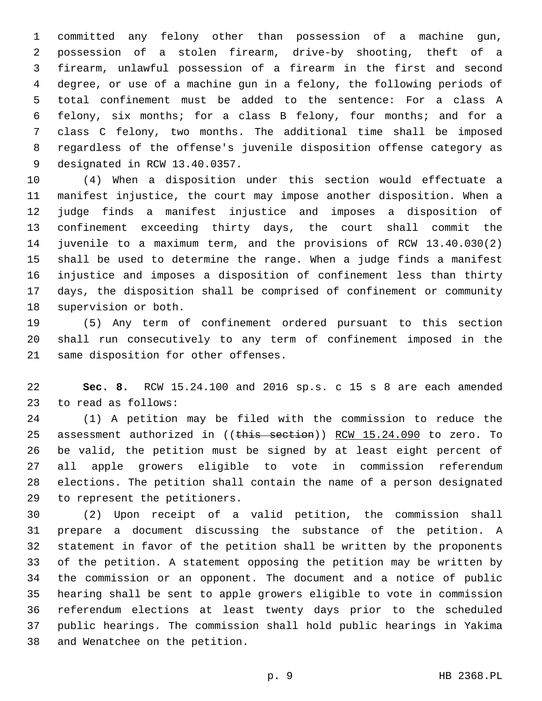committed any felony other than possession of a machine gun, possession of a stolen firearm, drive-by shooting, theft of a firearm, unlawful possession of a firearm in the first and second degree, or use of a machine gun in a felony, the following periods of total confinement must be added to the sentence: For a class A felony, six months; for a class B felony, four months; and for a class C felony, two months. The additional time shall be imposed regardless of the offense's juvenile disposition offense category as 9 designated in RCW 13.40.0357.

 (4) When a disposition under this section would effectuate a manifest injustice, the court may impose another disposition. When a judge finds a manifest injustice and imposes a disposition of confinement exceeding thirty days, the court shall commit the juvenile to a maximum term, and the provisions of RCW 13.40.030(2) shall be used to determine the range. When a judge finds a manifest injustice and imposes a disposition of confinement less than thirty days, the disposition shall be comprised of confinement or community 18 supervision or both.

 (5) Any term of confinement ordered pursuant to this section shall run consecutively to any term of confinement imposed in the 21 same disposition for other offenses.

 **Sec. 8.** RCW 15.24.100 and 2016 sp.s. c 15 s 8 are each amended 23 to read as follows:

 (1) A petition may be filed with the commission to reduce the 25 assessment authorized in ((this section)) RCW 15.24.090 to zero. To be valid, the petition must be signed by at least eight percent of all apple growers eligible to vote in commission referendum elections. The petition shall contain the name of a person designated 29 to represent the petitioners.

 (2) Upon receipt of a valid petition, the commission shall prepare a document discussing the substance of the petition. A statement in favor of the petition shall be written by the proponents of the petition. A statement opposing the petition may be written by the commission or an opponent. The document and a notice of public hearing shall be sent to apple growers eligible to vote in commission referendum elections at least twenty days prior to the scheduled public hearings. The commission shall hold public hearings in Yakima 38 and Wenatchee on the petition.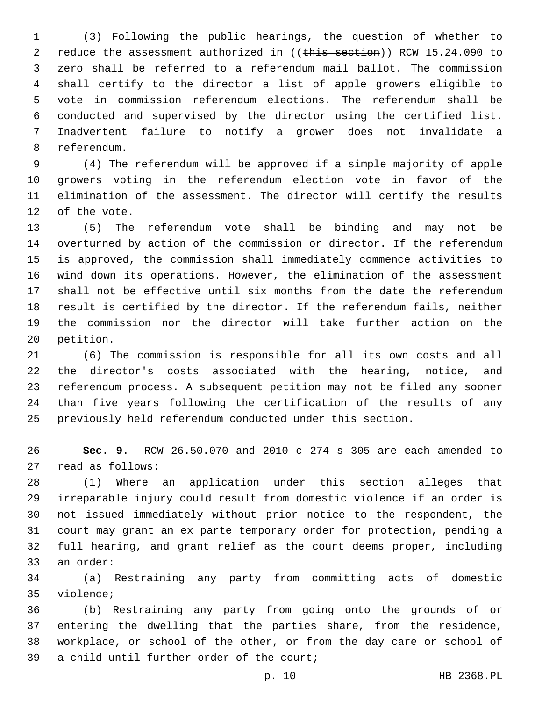(3) Following the public hearings, the question of whether to 2 reduce the assessment authorized in ((this section)) RCW 15.24.090 to zero shall be referred to a referendum mail ballot. The commission shall certify to the director a list of apple growers eligible to vote in commission referendum elections. The referendum shall be conducted and supervised by the director using the certified list. Inadvertent failure to notify a grower does not invalidate a 8 referendum.

 (4) The referendum will be approved if a simple majority of apple growers voting in the referendum election vote in favor of the elimination of the assessment. The director will certify the results 12 of the vote.

 (5) The referendum vote shall be binding and may not be overturned by action of the commission or director. If the referendum is approved, the commission shall immediately commence activities to wind down its operations. However, the elimination of the assessment shall not be effective until six months from the date the referendum result is certified by the director. If the referendum fails, neither the commission nor the director will take further action on the 20 petition.

 (6) The commission is responsible for all its own costs and all the director's costs associated with the hearing, notice, and referendum process. A subsequent petition may not be filed any sooner than five years following the certification of the results of any previously held referendum conducted under this section.

 **Sec. 9.** RCW 26.50.070 and 2010 c 274 s 305 are each amended to 27 read as follows:

 (1) Where an application under this section alleges that irreparable injury could result from domestic violence if an order is not issued immediately without prior notice to the respondent, the court may grant an ex parte temporary order for protection, pending a full hearing, and grant relief as the court deems proper, including 33 an order:

 (a) Restraining any party from committing acts of domestic 35 violence;

 (b) Restraining any party from going onto the grounds of or entering the dwelling that the parties share, from the residence, workplace, or school of the other, or from the day care or school of 39 a child until further order of the court;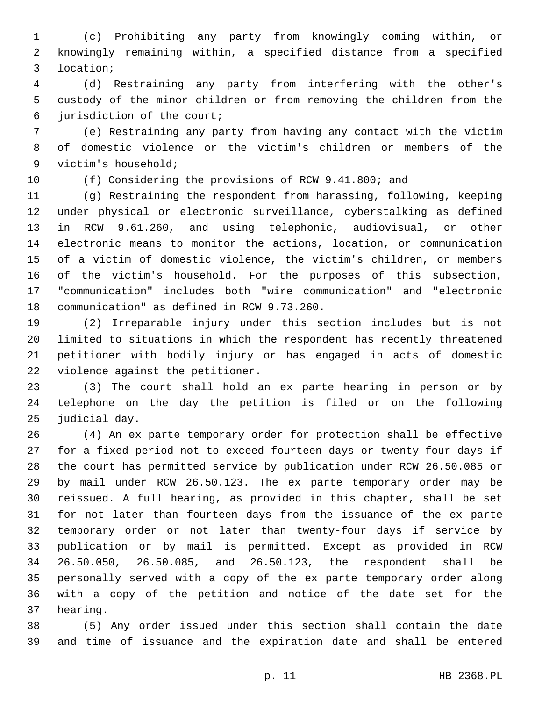(c) Prohibiting any party from knowingly coming within, or knowingly remaining within, a specified distance from a specified location;3

 (d) Restraining any party from interfering with the other's custody of the minor children or from removing the children from the 6 jurisdiction of the court;

 (e) Restraining any party from having any contact with the victim of domestic violence or the victim's children or members of the 9 victim's household;

(f) Considering the provisions of RCW 9.41.800; and

 (g) Restraining the respondent from harassing, following, keeping under physical or electronic surveillance, cyberstalking as defined in RCW 9.61.260, and using telephonic, audiovisual, or other electronic means to monitor the actions, location, or communication of a victim of domestic violence, the victim's children, or members of the victim's household. For the purposes of this subsection, "communication" includes both "wire communication" and "electronic 18 communication" as defined in RCW 9.73.260.

 (2) Irreparable injury under this section includes but is not limited to situations in which the respondent has recently threatened petitioner with bodily injury or has engaged in acts of domestic 22 violence against the petitioner.

 (3) The court shall hold an ex parte hearing in person or by telephone on the day the petition is filed or on the following 25 judicial day.

 (4) An ex parte temporary order for protection shall be effective for a fixed period not to exceed fourteen days or twenty-four days if the court has permitted service by publication under RCW 26.50.085 or by mail under RCW 26.50.123. The ex parte temporary order may be reissued. A full hearing, as provided in this chapter, shall be set 31 for not later than fourteen days from the issuance of the ex parte temporary order or not later than twenty-four days if service by publication or by mail is permitted. Except as provided in RCW 26.50.050, 26.50.085, and 26.50.123, the respondent shall be 35 personally served with a copy of the ex parte temporary order along with a copy of the petition and notice of the date set for the 37 hearing.

 (5) Any order issued under this section shall contain the date and time of issuance and the expiration date and shall be entered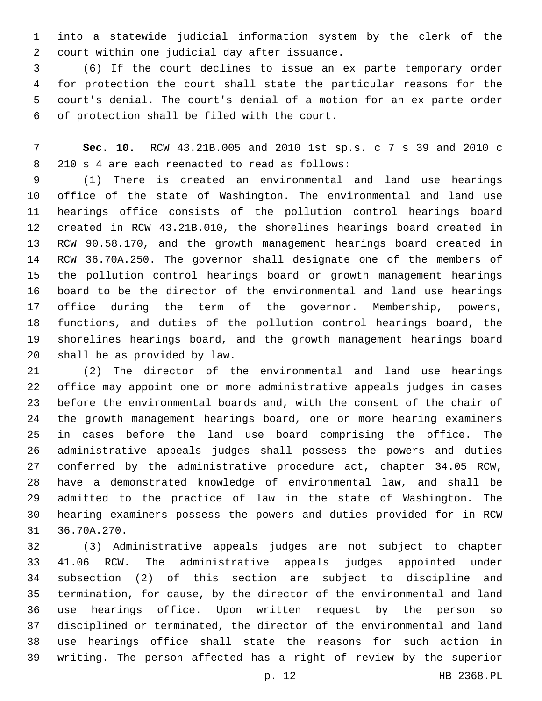into a statewide judicial information system by the clerk of the 2 court within one judicial day after issuance.

 (6) If the court declines to issue an ex parte temporary order for protection the court shall state the particular reasons for the court's denial. The court's denial of a motion for an ex parte order 6 of protection shall be filed with the court.

 **Sec. 10.** RCW 43.21B.005 and 2010 1st sp.s. c 7 s 39 and 2010 c 8 210 s 4 are each reenacted to read as follows:

 (1) There is created an environmental and land use hearings office of the state of Washington. The environmental and land use hearings office consists of the pollution control hearings board created in RCW 43.21B.010, the shorelines hearings board created in RCW 90.58.170, and the growth management hearings board created in RCW 36.70A.250. The governor shall designate one of the members of the pollution control hearings board or growth management hearings board to be the director of the environmental and land use hearings office during the term of the governor. Membership, powers, functions, and duties of the pollution control hearings board, the shorelines hearings board, and the growth management hearings board 20 shall be as provided by law.

 (2) The director of the environmental and land use hearings office may appoint one or more administrative appeals judges in cases before the environmental boards and, with the consent of the chair of the growth management hearings board, one or more hearing examiners in cases before the land use board comprising the office. The administrative appeals judges shall possess the powers and duties conferred by the administrative procedure act, chapter 34.05 RCW, have a demonstrated knowledge of environmental law, and shall be admitted to the practice of law in the state of Washington. The hearing examiners possess the powers and duties provided for in RCW 31 36.70A.270.

 (3) Administrative appeals judges are not subject to chapter 41.06 RCW. The administrative appeals judges appointed under subsection (2) of this section are subject to discipline and termination, for cause, by the director of the environmental and land use hearings office. Upon written request by the person so disciplined or terminated, the director of the environmental and land use hearings office shall state the reasons for such action in writing. The person affected has a right of review by the superior

p. 12 HB 2368.PL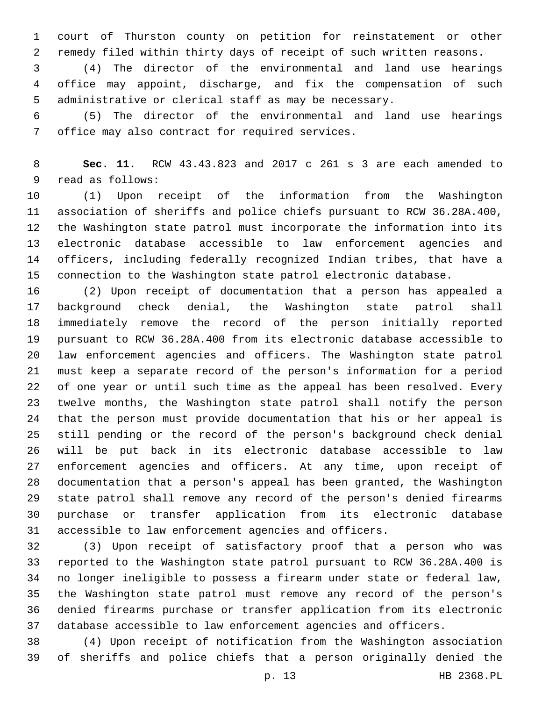court of Thurston county on petition for reinstatement or other remedy filed within thirty days of receipt of such written reasons.

 (4) The director of the environmental and land use hearings office may appoint, discharge, and fix the compensation of such administrative or clerical staff as may be necessary.

 (5) The director of the environmental and land use hearings 7 office may also contract for required services.

 **Sec. 11.** RCW 43.43.823 and 2017 c 261 s 3 are each amended to 9 read as follows:

 (1) Upon receipt of the information from the Washington association of sheriffs and police chiefs pursuant to RCW 36.28A.400, the Washington state patrol must incorporate the information into its electronic database accessible to law enforcement agencies and officers, including federally recognized Indian tribes, that have a connection to the Washington state patrol electronic database.

 (2) Upon receipt of documentation that a person has appealed a background check denial, the Washington state patrol shall immediately remove the record of the person initially reported pursuant to RCW 36.28A.400 from its electronic database accessible to law enforcement agencies and officers. The Washington state patrol must keep a separate record of the person's information for a period of one year or until such time as the appeal has been resolved. Every twelve months, the Washington state patrol shall notify the person that the person must provide documentation that his or her appeal is still pending or the record of the person's background check denial will be put back in its electronic database accessible to law enforcement agencies and officers. At any time, upon receipt of documentation that a person's appeal has been granted, the Washington state patrol shall remove any record of the person's denied firearms purchase or transfer application from its electronic database accessible to law enforcement agencies and officers.

 (3) Upon receipt of satisfactory proof that a person who was reported to the Washington state patrol pursuant to RCW 36.28A.400 is no longer ineligible to possess a firearm under state or federal law, the Washington state patrol must remove any record of the person's denied firearms purchase or transfer application from its electronic database accessible to law enforcement agencies and officers.

 (4) Upon receipt of notification from the Washington association of sheriffs and police chiefs that a person originally denied the

p. 13 HB 2368.PL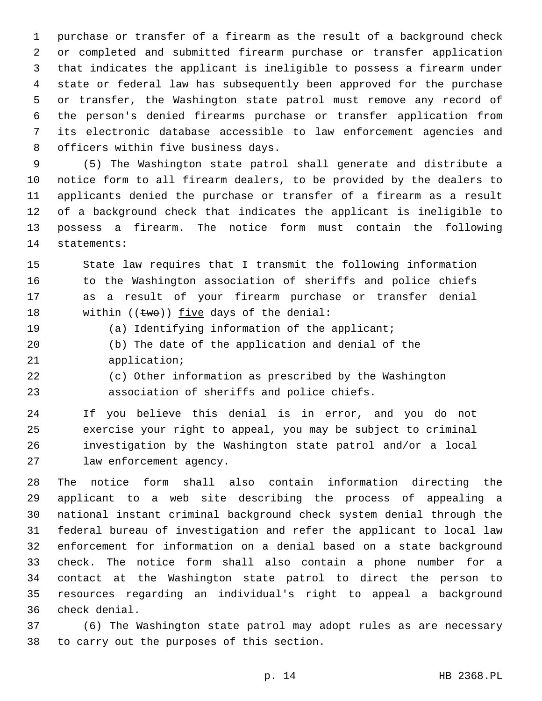purchase or transfer of a firearm as the result of a background check or completed and submitted firearm purchase or transfer application that indicates the applicant is ineligible to possess a firearm under state or federal law has subsequently been approved for the purchase or transfer, the Washington state patrol must remove any record of the person's denied firearms purchase or transfer application from its electronic database accessible to law enforcement agencies and 8 officers within five business days.

 (5) The Washington state patrol shall generate and distribute a notice form to all firearm dealers, to be provided by the dealers to applicants denied the purchase or transfer of a firearm as a result of a background check that indicates the applicant is ineligible to possess a firearm. The notice form must contain the following 14 statements:

 State law requires that I transmit the following information 16 to the Washington association of sheriffs and police chiefs as a result of your firearm purchase or transfer denial 18 within  $((two))$  five days of the denial:

(a) Identifying information of the applicant;

- (b) The date of the application and denial of the 21 application;
- (c) Other information as prescribed by the Washington association of sheriffs and police chiefs.

 If you believe this denial is in error, and you do not exercise your right to appeal, you may be subject to criminal investigation by the Washington state patrol and/or a local 27 law enforcement agency.

 The notice form shall also contain information directing the applicant to a web site describing the process of appealing a national instant criminal background check system denial through the federal bureau of investigation and refer the applicant to local law enforcement for information on a denial based on a state background check. The notice form shall also contain a phone number for a contact at the Washington state patrol to direct the person to resources regarding an individual's right to appeal a background check denial.36

 (6) The Washington state patrol may adopt rules as are necessary 38 to carry out the purposes of this section.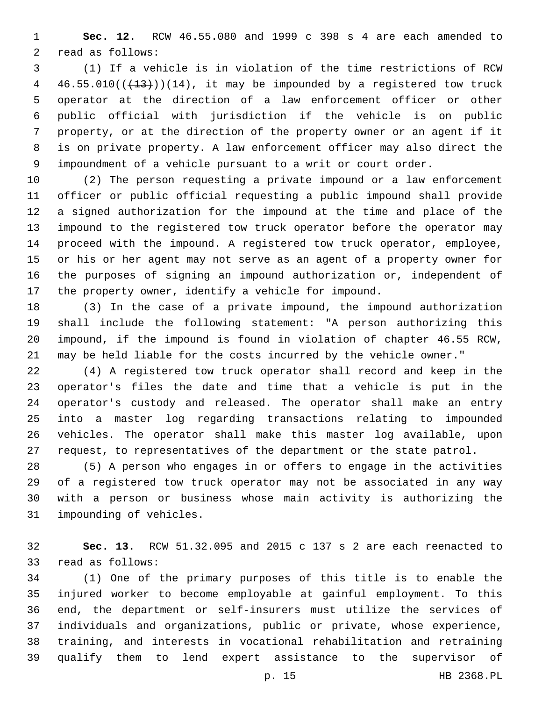**Sec. 12.** RCW 46.55.080 and 1999 c 398 s 4 are each amended to 2 read as follows:

 (1) If a vehicle is in violation of the time restrictions of RCW  $46.55.010((+13))(14)$ , it may be impounded by a registered tow truck operator at the direction of a law enforcement officer or other public official with jurisdiction if the vehicle is on public property, or at the direction of the property owner or an agent if it is on private property. A law enforcement officer may also direct the impoundment of a vehicle pursuant to a writ or court order.

 (2) The person requesting a private impound or a law enforcement officer or public official requesting a public impound shall provide a signed authorization for the impound at the time and place of the impound to the registered tow truck operator before the operator may proceed with the impound. A registered tow truck operator, employee, or his or her agent may not serve as an agent of a property owner for the purposes of signing an impound authorization or, independent of the property owner, identify a vehicle for impound.

 (3) In the case of a private impound, the impound authorization shall include the following statement: "A person authorizing this impound, if the impound is found in violation of chapter 46.55 RCW, may be held liable for the costs incurred by the vehicle owner."

 (4) A registered tow truck operator shall record and keep in the operator's files the date and time that a vehicle is put in the operator's custody and released. The operator shall make an entry into a master log regarding transactions relating to impounded vehicles. The operator shall make this master log available, upon request, to representatives of the department or the state patrol.

 (5) A person who engages in or offers to engage in the activities of a registered tow truck operator may not be associated in any way with a person or business whose main activity is authorizing the 31 impounding of vehicles.

 **Sec. 13.** RCW 51.32.095 and 2015 c 137 s 2 are each reenacted to 33 read as follows:

 (1) One of the primary purposes of this title is to enable the injured worker to become employable at gainful employment. To this end, the department or self-insurers must utilize the services of individuals and organizations, public or private, whose experience, training, and interests in vocational rehabilitation and retraining qualify them to lend expert assistance to the supervisor of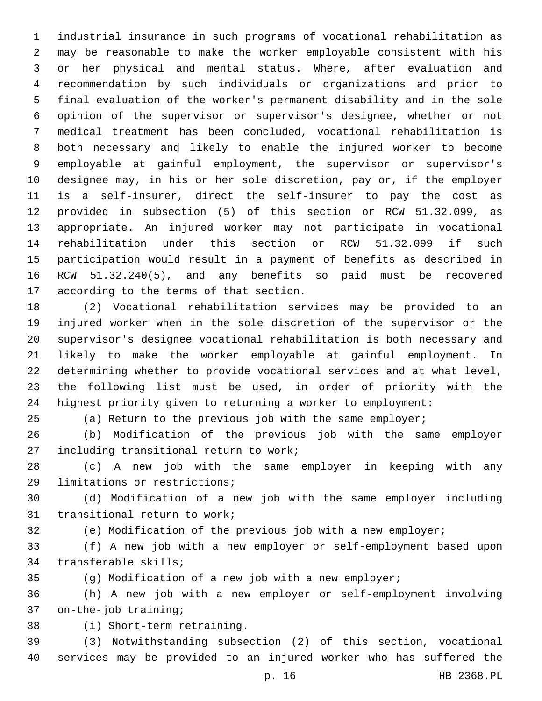industrial insurance in such programs of vocational rehabilitation as may be reasonable to make the worker employable consistent with his or her physical and mental status. Where, after evaluation and recommendation by such individuals or organizations and prior to final evaluation of the worker's permanent disability and in the sole opinion of the supervisor or supervisor's designee, whether or not medical treatment has been concluded, vocational rehabilitation is both necessary and likely to enable the injured worker to become employable at gainful employment, the supervisor or supervisor's designee may, in his or her sole discretion, pay or, if the employer is a self-insurer, direct the self-insurer to pay the cost as provided in subsection (5) of this section or RCW 51.32.099, as appropriate. An injured worker may not participate in vocational rehabilitation under this section or RCW 51.32.099 if such participation would result in a payment of benefits as described in RCW 51.32.240(5), and any benefits so paid must be recovered 17 according to the terms of that section.

 (2) Vocational rehabilitation services may be provided to an injured worker when in the sole discretion of the supervisor or the supervisor's designee vocational rehabilitation is both necessary and likely to make the worker employable at gainful employment. In determining whether to provide vocational services and at what level, the following list must be used, in order of priority with the highest priority given to returning a worker to employment:

(a) Return to the previous job with the same employer;

 (b) Modification of the previous job with the same employer 27 including transitional return to work;

 (c) A new job with the same employer in keeping with any 29 limitations or restrictions;

 (d) Modification of a new job with the same employer including 31 transitional return to work;

(e) Modification of the previous job with a new employer;

 (f) A new job with a new employer or self-employment based upon 34 transferable skills;

(g) Modification of a new job with a new employer;

 (h) A new job with a new employer or self-employment involving 37 on-the-job training;

(i) Short-term retraining.38

 (3) Notwithstanding subsection (2) of this section, vocational services may be provided to an injured worker who has suffered the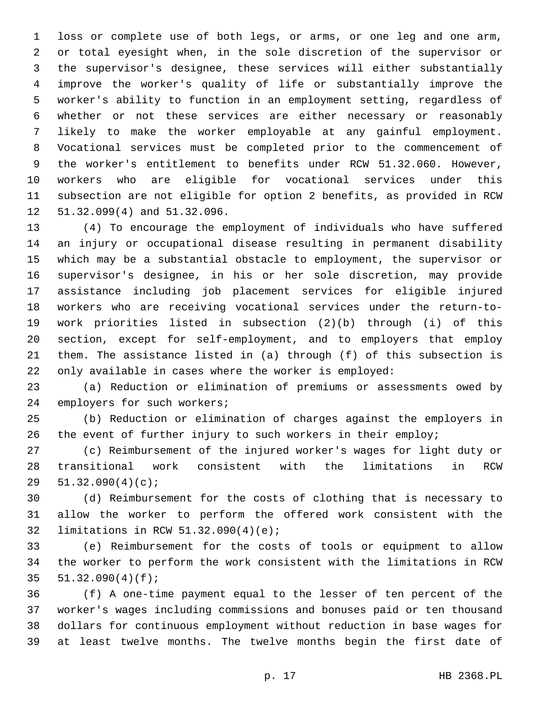loss or complete use of both legs, or arms, or one leg and one arm, or total eyesight when, in the sole discretion of the supervisor or the supervisor's designee, these services will either substantially improve the worker's quality of life or substantially improve the worker's ability to function in an employment setting, regardless of whether or not these services are either necessary or reasonably likely to make the worker employable at any gainful employment. Vocational services must be completed prior to the commencement of the worker's entitlement to benefits under RCW 51.32.060. However, workers who are eligible for vocational services under this subsection are not eligible for option 2 benefits, as provided in RCW 12 51.32.099(4) and 51.32.096.

 (4) To encourage the employment of individuals who have suffered an injury or occupational disease resulting in permanent disability which may be a substantial obstacle to employment, the supervisor or supervisor's designee, in his or her sole discretion, may provide assistance including job placement services for eligible injured workers who are receiving vocational services under the return-to- work priorities listed in subsection (2)(b) through (i) of this section, except for self-employment, and to employers that employ them. The assistance listed in (a) through (f) of this subsection is only available in cases where the worker is employed:

 (a) Reduction or elimination of premiums or assessments owed by 24 employers for such workers;

 (b) Reduction or elimination of charges against the employers in the event of further injury to such workers in their employ;

 (c) Reimbursement of the injured worker's wages for light duty or transitional work consistent with the limitations in RCW 29  $51.32.090(4)(c);$ 

 (d) Reimbursement for the costs of clothing that is necessary to allow the worker to perform the offered work consistent with the 32 limitations in RCW 51.32.090(4)(e);

 (e) Reimbursement for the costs of tools or equipment to allow the worker to perform the work consistent with the limitations in RCW  $51.32.090(4)(f);$ 

 (f) A one-time payment equal to the lesser of ten percent of the worker's wages including commissions and bonuses paid or ten thousand dollars for continuous employment without reduction in base wages for at least twelve months. The twelve months begin the first date of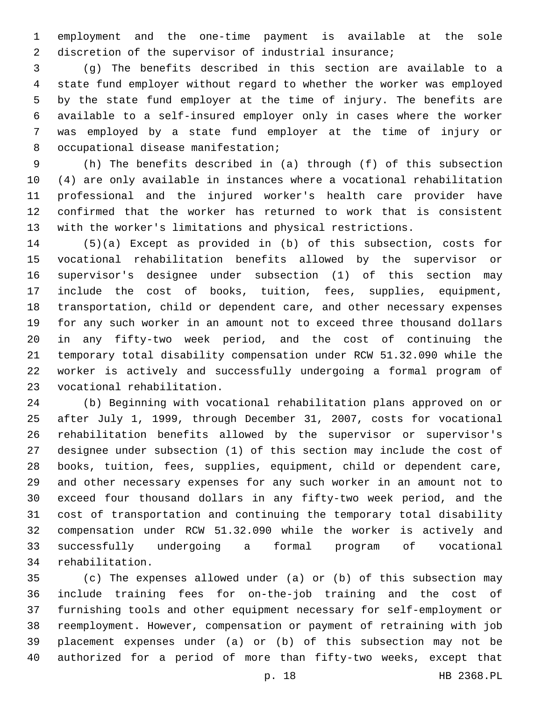employment and the one-time payment is available at the sole 2 discretion of the supervisor of industrial insurance;

 (g) The benefits described in this section are available to a state fund employer without regard to whether the worker was employed by the state fund employer at the time of injury. The benefits are available to a self-insured employer only in cases where the worker was employed by a state fund employer at the time of injury or 8 occupational disease manifestation;

 (h) The benefits described in (a) through (f) of this subsection (4) are only available in instances where a vocational rehabilitation professional and the injured worker's health care provider have confirmed that the worker has returned to work that is consistent with the worker's limitations and physical restrictions.

 (5)(a) Except as provided in (b) of this subsection, costs for vocational rehabilitation benefits allowed by the supervisor or supervisor's designee under subsection (1) of this section may include the cost of books, tuition, fees, supplies, equipment, transportation, child or dependent care, and other necessary expenses for any such worker in an amount not to exceed three thousand dollars in any fifty-two week period, and the cost of continuing the temporary total disability compensation under RCW 51.32.090 while the worker is actively and successfully undergoing a formal program of vocational rehabilitation.23

 (b) Beginning with vocational rehabilitation plans approved on or after July 1, 1999, through December 31, 2007, costs for vocational rehabilitation benefits allowed by the supervisor or supervisor's designee under subsection (1) of this section may include the cost of books, tuition, fees, supplies, equipment, child or dependent care, and other necessary expenses for any such worker in an amount not to exceed four thousand dollars in any fifty-two week period, and the cost of transportation and continuing the temporary total disability compensation under RCW 51.32.090 while the worker is actively and successfully undergoing a formal program of vocational 34 rehabilitation.

 (c) The expenses allowed under (a) or (b) of this subsection may include training fees for on-the-job training and the cost of furnishing tools and other equipment necessary for self-employment or reemployment. However, compensation or payment of retraining with job placement expenses under (a) or (b) of this subsection may not be authorized for a period of more than fifty-two weeks, except that

p. 18 HB 2368.PL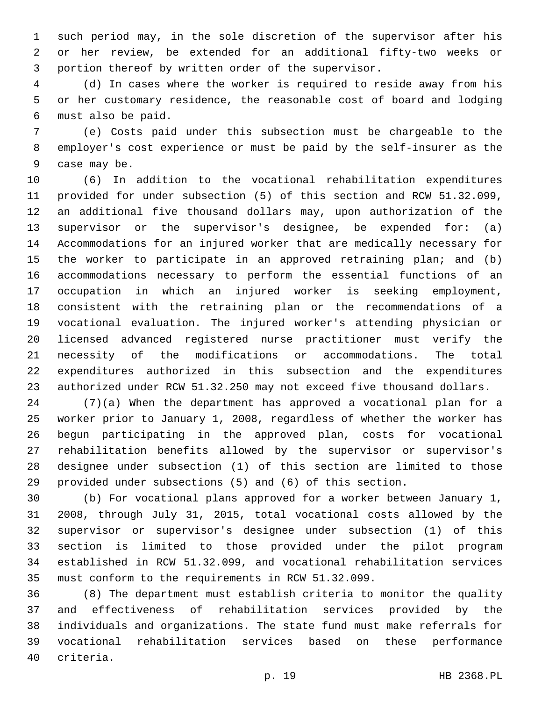such period may, in the sole discretion of the supervisor after his or her review, be extended for an additional fifty-two weeks or portion thereof by written order of the supervisor.

 (d) In cases where the worker is required to reside away from his or her customary residence, the reasonable cost of board and lodging must also be paid.6

 (e) Costs paid under this subsection must be chargeable to the employer's cost experience or must be paid by the self-insurer as the 9 case may be.

 (6) In addition to the vocational rehabilitation expenditures provided for under subsection (5) of this section and RCW 51.32.099, an additional five thousand dollars may, upon authorization of the supervisor or the supervisor's designee, be expended for: (a) Accommodations for an injured worker that are medically necessary for the worker to participate in an approved retraining plan; and (b) accommodations necessary to perform the essential functions of an occupation in which an injured worker is seeking employment, consistent with the retraining plan or the recommendations of a vocational evaluation. The injured worker's attending physician or licensed advanced registered nurse practitioner must verify the necessity of the modifications or accommodations. The total expenditures authorized in this subsection and the expenditures authorized under RCW 51.32.250 may not exceed five thousand dollars.

 (7)(a) When the department has approved a vocational plan for a worker prior to January 1, 2008, regardless of whether the worker has begun participating in the approved plan, costs for vocational rehabilitation benefits allowed by the supervisor or supervisor's designee under subsection (1) of this section are limited to those provided under subsections (5) and (6) of this section.

 (b) For vocational plans approved for a worker between January 1, 2008, through July 31, 2015, total vocational costs allowed by the supervisor or supervisor's designee under subsection (1) of this section is limited to those provided under the pilot program established in RCW 51.32.099, and vocational rehabilitation services must conform to the requirements in RCW 51.32.099.

 (8) The department must establish criteria to monitor the quality and effectiveness of rehabilitation services provided by the individuals and organizations. The state fund must make referrals for vocational rehabilitation services based on these performance 40 criteria.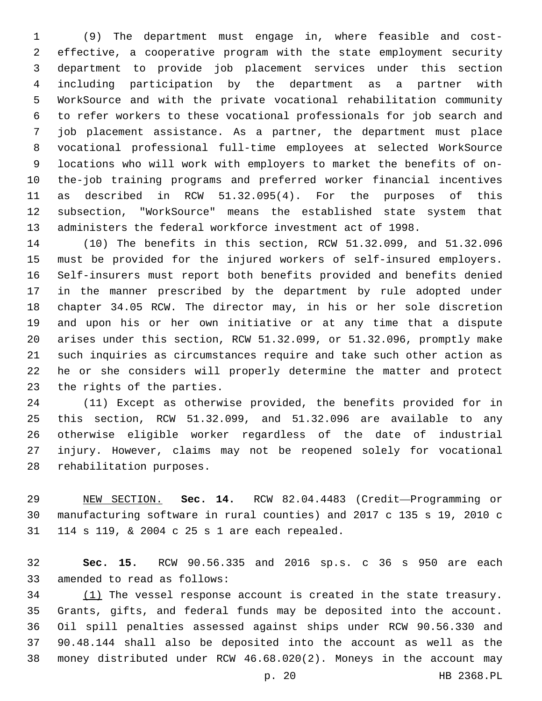(9) The department must engage in, where feasible and cost- effective, a cooperative program with the state employment security department to provide job placement services under this section including participation by the department as a partner with WorkSource and with the private vocational rehabilitation community to refer workers to these vocational professionals for job search and job placement assistance. As a partner, the department must place vocational professional full-time employees at selected WorkSource locations who will work with employers to market the benefits of on- the-job training programs and preferred worker financial incentives as described in RCW 51.32.095(4). For the purposes of this subsection, "WorkSource" means the established state system that administers the federal workforce investment act of 1998.

 (10) The benefits in this section, RCW 51.32.099, and 51.32.096 must be provided for the injured workers of self-insured employers. Self-insurers must report both benefits provided and benefits denied in the manner prescribed by the department by rule adopted under chapter 34.05 RCW. The director may, in his or her sole discretion and upon his or her own initiative or at any time that a dispute arises under this section, RCW 51.32.099, or 51.32.096, promptly make such inquiries as circumstances require and take such other action as he or she considers will properly determine the matter and protect 23 the rights of the parties.

 (11) Except as otherwise provided, the benefits provided for in this section, RCW 51.32.099, and 51.32.096 are available to any otherwise eligible worker regardless of the date of industrial injury. However, claims may not be reopened solely for vocational 28 rehabilitation purposes.

 NEW SECTION. **Sec. 14.** RCW 82.04.4483 (Credit—Programming or manufacturing software in rural counties) and 2017 c 135 s 19, 2010 c 114 s 119, & 2004 c 25 s 1 are each repealed.

 **Sec. 15.** RCW 90.56.335 and 2016 sp.s. c 36 s 950 are each 33 amended to read as follows:

 (1) The vessel response account is created in the state treasury. Grants, gifts, and federal funds may be deposited into the account. Oil spill penalties assessed against ships under RCW 90.56.330 and 90.48.144 shall also be deposited into the account as well as the money distributed under RCW 46.68.020(2). Moneys in the account may

p. 20 HB 2368.PL